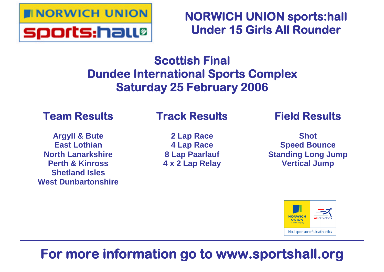

**NORWICH UNION sports:hall Under 15 Girls All Rounder**

## **Scottish Final Dundee International Sports Complex Saturday 25 February 2006**

## **Team Results**

## **Argyll & Bute East Lothian North Lanarkshire Perth & Kinross Shetland Isles West Dunbartonshire**

## **Track Results**

**2 Lap Race 4 Lap Race 8 Lap Paarlauf 4 x 2 Lap Relay** **Field Results**

**Shot Speed Bounce Standing Long Jump Vertical Jump**



## **For more information go to www.sportshall.org**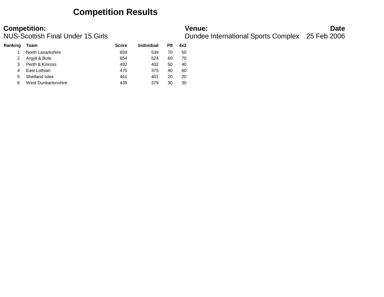## **Competition Results**

| Ranking | Team                | <b>Score</b> | Individual | P8 | 4x2 |
|---------|---------------------|--------------|------------|----|-----|
|         | North Lanarkshire   | 659          | 539        | 70 | 50  |
|         | Argyll & Bute       | 654          | 524        | 60 | 70  |
| 3       | Perth & Kinross     | 492          | 402        | 50 | 40  |
|         | East Lothian        | 475          | 375        | 40 | 60  |
| 5       | Shetland Isles      | 441          | 401        | 20 | 20  |
| 6       | West Dunbartonshire | 439          | 379        | 30 | 30  |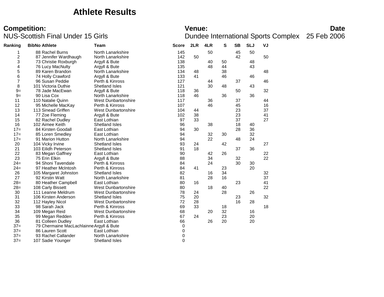## **Athlete Results**

# **Competition:**<br>**Date**<br>Dundee International Sports Complex 25 Feb 2006<br>Dundee International Sports Complex 25 Feb 2006

| Ranking          | <b>BibNo Athlete</b>                     | Team                       | <b>Score</b> | 2LR | 4LR | s  | SB | <b>SLJ</b> | VJ |  |
|------------------|------------------------------------------|----------------------------|--------------|-----|-----|----|----|------------|----|--|
|                  | 88 Rachel Burns                          | North Lanarkshire          | 145          |     | 50  |    | 45 | 50         |    |  |
| $\boldsymbol{2}$ | 87 Jennifer Wardhaugh                    | North Lanarkshire          | 142          | 50  |     |    | 42 |            | 50 |  |
| 3                | 73 Christie Roxburgh                     | Argyll & Bute              | 138          |     | 40  | 50 |    | 48         |    |  |
| 4                | 76 Lucy MacNulty                         | Argyll & Bute              | 135          |     | 48  | 44 |    | 43         |    |  |
| 5                | 89 Karen Brandon                         | North Lanarkshire          | 134          | 48  |     | 38 |    |            | 48 |  |
| 6                | 74 Holly Crawford                        | Argyll & Bute              | 133          | 41  |     | 46 |    | 46         |    |  |
| $\overline{7}$   | 96 Susan Peddie                          | Perth & Kinross            | 127          |     | 44  |    | 37 |            | 46 |  |
| 8                | 101 Victoria Duthie                      | Shetland Isles             | 121          |     | 30  | 48 |    | 43         |    |  |
| $9=$             | 78 Jade MacEwan                          | Argyll & Bute              | 118          | 36  |     |    | 50 |            | 32 |  |
| $9=$             | 90 Lisa Cox                              | North Lanarkshire          | 118          | 46  |     | 36 |    | 36         |    |  |
| 11               | 110 Natalie Quinn                        | <b>West Dunbartonshire</b> | 117          |     | 36  |    | 37 |            | 44 |  |
| 12               | 95 Michelle MacKay                       | Perth & Kinross            | 107          |     | 46  |    | 45 |            | 16 |  |
| 13               | 113 Sinead Griffen                       | <b>West Dunbartonshire</b> | 104          | 44  |     |    | 23 |            | 37 |  |
| 14               | 77 Zoe Fleming                           | Argyll & Bute              | 102          | 38  |     |    | 23 |            | 41 |  |
| 15               | 82 Rachel Dudley                         | East Lothian               | 97           | 33  |     |    | 37 |            | 27 |  |
| 16               | 102 Aimee Keith                          | <b>Shetland Isles</b>      | 96           |     | 38  |    | 18 | 40         |    |  |
| $17=$            | 84 Kirsten Goodall                       | East Lothian               | 94           | 30  |     |    | 28 | 36         |    |  |
| $17=$            | 85 Loren Smedley                         | East Lothian               | 94           |     | 32  | 30 |    | 32         |    |  |
| $17=$            | 91 Marion Hutton                         | North Lanarkshire          | 94           |     | 22  |    | 48 | 24         |    |  |
| 20               | 104 Vicky Irvine                         | <b>Shetland Isles</b>      | 93           | 24  |     | 42 |    |            | 27 |  |
| 21               | 103 Eilidh Peterson                      | Shetland Isles             | 91           | 18  |     |    | 37 | 36         |    |  |
| 22               | 83 Megan Gaffney                         | East Lothian               | 90           |     | 42  | 26 |    |            | 22 |  |
| 23               | 75 Erin Elkin                            | Argyll & Bute              | 88           |     | 34  |    | 32 |            | 22 |  |
| $24=$            | 94 Shoni Tavendale                       | Perth & Kinross            | 84           |     | 24  |    | 30 | 30         |    |  |
| $24=$            | 97 Heather McIntosh                      | Perth & Kinross            | 84           | 41  |     | 23 |    | 20         |    |  |
| 26               | 105 Margaret Johnston                    | <b>Shetland Isles</b>      | 82           |     | 16  | 34 |    |            | 32 |  |
| 27               | 92 Kirstin Watt                          | North Lanarkshire          | 81           |     | 28  | 16 |    |            | 37 |  |
| $28=$            | 80 Heather Campbell                      | East Lothian               | 80           | 16  |     |    | 23 |            | 41 |  |
| $28=$            | 108 Carly Bissett                        | <b>West Dunbartonshire</b> | 80           |     | 18  | 40 |    |            | 22 |  |
| 30               | 111 Leanne Meldrum                       | <b>West Dunbartonshire</b> | 78           | 24  |     | 28 |    | 26         |    |  |
| 31               | 106 Kirsten Anderson                     | <b>Shetland Isles</b>      | 75           | 20  |     |    | 23 |            | 32 |  |
| 32               | 112 Hayley Nicol                         | <b>West Dunbartonshire</b> | 72           | 28  |     |    | 16 | 28         |    |  |
| 33               | 98 Sarah Jack                            | Perth & Kinross            | 69           | 33  |     | 18 |    |            | 18 |  |
| 34               | 109 Megan Reid                           | West Dunbartonshire        | 68           |     | 20  | 32 |    | 16         |    |  |
| 35               | 99 Megan Redden                          | Perth & Kinross            | 67           | 24  |     | 23 |    | 20         |    |  |
| 36               | 81 Colleen Dudley                        | East Lothian               | 66           |     | 26  | 20 |    | 20         |    |  |
| $37=$            | 79 Chermaine MacLachlainne Argyll & Bute |                            | 0            |     |     |    |    |            |    |  |
| $37=$            | 86 Lauren Scott                          | East Lothian               | 0            |     |     |    |    |            |    |  |
| $37=$            | 93 Rachel Callander                      | North Lanarkshire          | 0            |     |     |    |    |            |    |  |
| $37=$            | 107 Sadie Younger                        | <b>Shetland Isles</b>      | $\mathbf 0$  |     |     |    |    |            |    |  |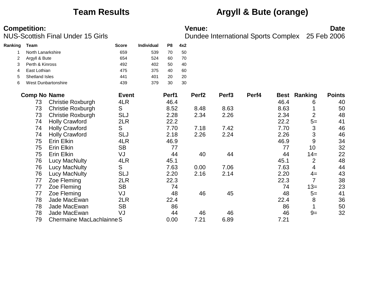## **Team Results Argyll & Bute (orange)**

| Ranking | <b>Team</b>         |                           | <b>Score</b> | Individual | P8    | 4x2 |                   |                   |       |      |                     |               |
|---------|---------------------|---------------------------|--------------|------------|-------|-----|-------------------|-------------------|-------|------|---------------------|---------------|
|         | North Lanarkshire   |                           | 659          | 539        | 70    | 50  |                   |                   |       |      |                     |               |
|         | Argyll & Bute       |                           | 654          | 524        | 60    | 70  |                   |                   |       |      |                     |               |
| 3       | Perth & Kinross     |                           | 492          | 402        | 50    | 40  |                   |                   |       |      |                     |               |
| 4       | East Lothian        |                           | 475          | 375        | 40    | 60  |                   |                   |       |      |                     |               |
| 5       | Shetland Isles      |                           | 441          | 401        | 20    | 20  |                   |                   |       |      |                     |               |
| 6       |                     | West Dunbartonshire       | 439          | 379        | 30    | 30  |                   |                   |       |      |                     |               |
|         | <b>Comp No Name</b> |                           | <b>Event</b> |            | Perf1 |     | Perf <sub>2</sub> | Perf <sub>3</sub> | Perf4 |      | <b>Best Ranking</b> | <b>Points</b> |
|         | 73                  | <b>Christie Roxburgh</b>  | 4LR          |            | 46.4  |     |                   |                   |       | 46.4 | 6                   | 40            |
|         | 73                  | <b>Christie Roxburgh</b>  | S            |            | 8.52  |     | 8.48              | 8.63              |       | 8.63 |                     | 50            |
|         | 73                  | <b>Christie Roxburgh</b>  | <b>SLJ</b>   |            | 2.28  |     | 2.34              | 2.26              |       | 2.34 | $\overline{2}$      | 48            |
|         | 74                  | <b>Holly Crawford</b>     | 2LR          |            | 22.2  |     |                   |                   |       | 22.2 | $5=$                | 41            |
|         | 74                  | <b>Holly Crawford</b>     | S            |            | 7.70  |     | 7.18              | 7.42              |       | 7.70 | 3                   | 46            |
|         | 74                  | <b>Holly Crawford</b>     | <b>SLJ</b>   |            | 2.18  |     | 2.26              | 2.24              |       | 2.26 | 3                   | 46            |
|         | 75                  | Erin Elkin                | 4LR          |            | 46.9  |     |                   |                   |       | 46.9 | 9                   | 34            |
|         | 75                  | Erin Elkin                | <b>SB</b>    |            | 77    |     |                   |                   |       | 77   | 10                  | 32            |
|         | 75                  | Erin Elkin                | VJ           |            | 44    |     | 40                | 44                |       | 44   | $14=$               | 22            |
|         | 76                  | <b>Lucy MacNulty</b>      | 4LR          |            | 45.1  |     |                   |                   |       | 45.1 | $\overline{2}$      | 48            |
|         | 76                  | Lucy MacNulty             | S            |            | 7.63  |     | 0.00              | 7.06              |       | 7.63 | 4                   | 44            |
|         | 76                  | Lucy MacNulty             | <b>SLJ</b>   |            | 2.20  |     | 2.16              | 2.14              |       | 2.20 | $4=$                | 43            |
|         | 77                  | Zoe Fleming               | 2LR          |            | 22.3  |     |                   |                   |       | 22.3 | $\overline{7}$      | 38            |
|         | 77                  | Zoe Fleming               | <b>SB</b>    |            | 74    |     |                   |                   |       | 74   | $13 =$              | 23            |
|         | 77                  | Zoe Fleming               | VJ           |            | 48    |     | 46                | 45                |       | 48   | $5=$                | 41            |
|         | 78                  | Jade MacEwan              | 2LR          |            | 22.4  |     |                   |                   |       | 22.4 | 8                   | 36            |
|         | 78                  | Jade MacEwan              | <b>SB</b>    |            | 86    |     |                   |                   |       | 86   |                     | 50            |
|         | 78                  | Jade MacEwan              | VJ           |            | 44    |     | 46                | 46                |       | 46   | $9=$                | 32            |
|         | 79                  | Chermaine MacLachlainne S |              |            | 0.00  |     | 7.21              | 6.89              |       | 7.21 |                     |               |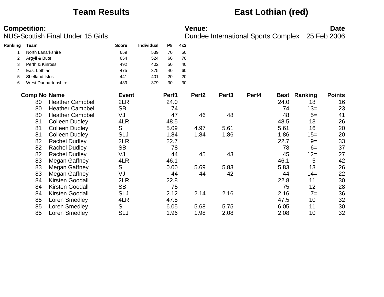## **Team Results East Lothian (red)**

| Ranking | Team                | <b>Score</b> | <b>Individual</b> | P8 | 4x2 |  |
|---------|---------------------|--------------|-------------------|----|-----|--|
|         | North Lanarkshire   | 659          | 539               | 70 | 50  |  |
| 2       | Argyll & Bute       | 654          | 524               | 60 | 70  |  |
| 3       | Perth & Kinross     | 492          | 402               | 50 | 40  |  |
| 4       | East Lothian        | 475          | 375               | 40 | 60  |  |
| 5       | Shetland Isles      | 441          | 401               | 20 | 20  |  |
| 6       | West Dunbartonshire | 439          | 379               | 30 | 30  |  |
|         |                     |              |                   |    |     |  |

| <b>Comp No Name</b> |                         | <b>Event</b> | Perf1 | Perf <sub>2</sub> | Perf <sub>3</sub> | Perf4 | <b>Best</b> | Ranking | <b>Points</b> |
|---------------------|-------------------------|--------------|-------|-------------------|-------------------|-------|-------------|---------|---------------|
| 80                  | <b>Heather Campbell</b> | 2LR          | 24.0  |                   |                   |       | 24.0        | 18      | 16            |
| 80                  | <b>Heather Campbell</b> | <b>SB</b>    | 74    |                   |                   |       | 74          | $13=$   | 23            |
| 80                  | <b>Heather Campbell</b> | VJ           | 47    | 46                | 48                |       | 48          | $5=$    | 41            |
| 81                  | <b>Colleen Dudley</b>   | 4LR          | 48.5  |                   |                   |       | 48.5        | 13      | 26            |
| 81                  | <b>Colleen Dudley</b>   | S            | 5.09  | 4.97              | 5.61              |       | 5.61        | 16      | 20            |
| 81                  | <b>Colleen Dudley</b>   | <b>SLJ</b>   | 1.84  | 1.84              | 1.86              |       | 1.86        | $15=$   | 20            |
| 82                  | <b>Rachel Dudley</b>    | 2LR          | 22.7  |                   |                   |       | 22.7        | $9=$    | 33            |
| 82                  | <b>Rachel Dudley</b>    | <b>SB</b>    | 78    |                   |                   |       | 78          | $6=$    | 37            |
| 82                  | <b>Rachel Dudley</b>    | VJ           | 44    | 45                | 43                |       | 45          | $12 =$  | 27            |
| 83                  | Megan Gaffney           | 4LR          | 46.1  |                   |                   |       | 46.1        | 5       | 42            |
| 83                  | Megan Gaffney           | S            | 0.00  | 5.69              | 5.83              |       | 5.83        | 13      | 26            |
| 83                  | Megan Gaffney           | VJ           | 44    | 44                | 42                |       | 44          | $14=$   | 22            |
| 84                  | Kirsten Goodall         | 2LR          | 22.8  |                   |                   |       | 22.8        | 11      | 30            |
| 84                  | Kirsten Goodall         | <b>SB</b>    | 75    |                   |                   |       | 75          | 12      | 28            |
| 84                  | <b>Kirsten Goodall</b>  | <b>SLJ</b>   | 2.12  | 2.14              | 2.16              |       | 2.16        | $7 =$   | 36            |
| 85                  | Loren Smedley           | 4LR          | 47.5  |                   |                   |       | 47.5        | 10      | 32            |
| 85                  | Loren Smedley           | S            | 6.05  | 5.68              | 5.75              |       | 6.05        | 11      | 30            |
| 85                  | Loren Smedley           | <b>SLJ</b>   | 1.96  | 1.98              | 2.08              |       | 2.08        | 10      | 32            |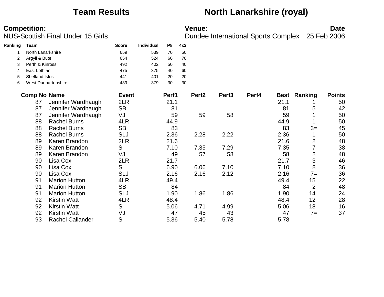**Ranking Team Score Individual P8 4x2** 1 North Lanarkshire 1 1 659 539 70 50

## **Team Results North Lanarkshire (royal)**

| 2 | Argyll & Bute         |                            | 654          | 524 | 60    | 70 |                   |                   |       |      |                |               |
|---|-----------------------|----------------------------|--------------|-----|-------|----|-------------------|-------------------|-------|------|----------------|---------------|
| 3 | Perth & Kinross       |                            | 492          | 402 | 50    | 40 |                   |                   |       |      |                |               |
| 4 | East Lothian          |                            | 475          | 375 | 40    | 60 |                   |                   |       |      |                |               |
| 5 | <b>Shetland Isles</b> |                            | 441          | 401 | 20    | 20 |                   |                   |       |      |                |               |
| 6 |                       | <b>West Dunbartonshire</b> | 439          | 379 | 30    | 30 |                   |                   |       |      |                |               |
|   | <b>Comp No Name</b>   |                            | <b>Event</b> |     | Perf1 |    | Perf <sub>2</sub> | Perf <sub>3</sub> | Perf4 | Best | Ranking        | <b>Points</b> |
|   | 87                    | Jennifer Wardhaugh         | 2LR          |     | 21.1  |    |                   |                   |       | 21.1 |                | 50            |
|   | 87                    | Jennifer Wardhaugh         | <b>SB</b>    |     | 81    |    |                   |                   |       | 81   | 5              | 42            |
|   | 87                    | Jennifer Wardhaugh         | VJ           |     | 59    |    | 59                | 58                |       | 59   |                | 50            |
|   | 88                    | <b>Rachel Burns</b>        | 4LR          |     | 44.9  |    |                   |                   |       | 44.9 |                | 50            |
|   | 88                    | <b>Rachel Burns</b>        | <b>SB</b>    |     | 83    |    |                   |                   |       | 83   | $3=$           | 45            |
|   | 88                    | <b>Rachel Burns</b>        | <b>SLJ</b>   |     | 2.36  |    | 2.28              | 2.22              |       | 2.36 |                | 50            |
|   | 89                    | Karen Brandon              | 2LR          |     | 21.6  |    |                   |                   |       | 21.6 | $\overline{2}$ | 48            |
|   | 89                    | Karen Brandon              | S            |     | 7.10  |    | 7.35              | 7.29              |       | 7.35 |                | 38            |
|   | 89                    | Karen Brandon              | VJ           |     | 49    |    | 57                | 58                |       | 58   | 2              | 48            |
|   | 90                    | Lisa Cox                   | 2LR          |     | 21.7  |    |                   |                   |       | 21.7 | 3              | 46            |
|   | 90                    | Lisa Cox                   | S            |     | 6.90  |    | 6.06              | 7.10              |       | 7.10 | 8              | 36            |
|   | 90                    | Lisa Cox                   | SLJ          |     | 2.16  |    | 2.16              | 2.12              |       | 2.16 | $7 =$          | 36            |
|   | 91                    | <b>Marion Hutton</b>       | 4LR          |     | 49.4  |    |                   |                   |       | 49.4 | 15             | 22            |
|   | 91                    | <b>Marion Hutton</b>       | <b>SB</b>    |     | 84    |    |                   |                   |       | 84   | $\overline{2}$ | 48            |
|   | 91                    | <b>Marion Hutton</b>       | <b>SLJ</b>   |     | 1.90  |    | 1.86              | 1.86              |       | 1.90 | 14             | 24            |
|   | 92                    | <b>Kirstin Watt</b>        | 4LR          |     | 48.4  |    |                   |                   |       | 48.4 | 12             | 28            |
|   | 92                    | <b>Kirstin Watt</b>        | S            |     | 5.06  |    | 4.71              | 4.99              |       | 5.06 | 18             | 16            |
|   | 92                    | <b>Kirstin Watt</b>        | VJ           |     | 47    |    | 45                | 43                |       | 47   | $7=$           | 37            |
|   | 93                    | <b>Rachel Callander</b>    | S            |     | 5.36  |    | 5.40              | 5.78              |       | 5.78 |                |               |
|   |                       |                            |              |     |       |    |                   |                   |       |      |                |               |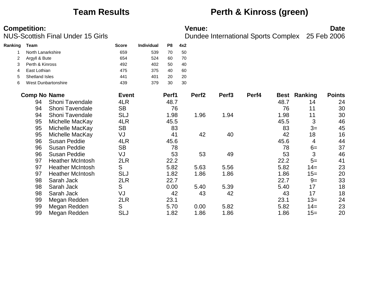## **Team Results Perth & Kinross (green)**

| Ranking | Team                | <b>Score</b> | <b>Individual</b> | P8    | 4x2 |                   |
|---------|---------------------|--------------|-------------------|-------|-----|-------------------|
|         | North Lanarkshire   | 659          | 539               | 70    | 50  |                   |
| 2       | Argyll & Bute       | 654          | 524               | 60    | 70  |                   |
| 3       | Perth & Kinross     | 492          | 402               | 50    | 40  |                   |
| 4       | East Lothian        | 475          | 375               | 40    | 60  |                   |
| 5       | Shetland Isles      | 441          | 401               | 20    | 20  |                   |
| 6       | West Dunbartonshire | 439          | 379               | 30    | 30  |                   |
|         | <b>Comp No Name</b> | <b>Event</b> |                   | Perf1 |     | Perf <sub>2</sub> |

|                         | <b>Event</b>                                   | Perf1 | Perf <sub>2</sub> | Perf <sub>3</sub> | Perf4 |      |             | <b>Points</b> |
|-------------------------|------------------------------------------------|-------|-------------------|-------------------|-------|------|-------------|---------------|
| Shoni Tavendale         | 4LR                                            | 48.7  |                   |                   |       | 48.7 | 14          | 24            |
| Shoni Tavendale         | <b>SB</b>                                      | 76    |                   |                   |       | 76   | 11          | 30            |
| Shoni Tavendale         | <b>SLJ</b>                                     | 1.98  | 1.96              | 1.94              |       | 1.98 | 11          | 30            |
| Michelle MacKay         | 4LR                                            | 45.5  |                   |                   |       | 45.5 | 3           | 46            |
| Michelle MacKay         | <b>SB</b>                                      | 83    |                   |                   |       | 83   | $3=$        | 45            |
|                         | VJ                                             | 41    | 42                | 40                |       | 42   | 18          | 16            |
| <b>Susan Peddie</b>     | 4LR                                            | 45.6  |                   |                   |       | 45.6 | 4           | 44            |
| <b>Susan Peddie</b>     | <b>SB</b>                                      | 78    |                   |                   |       | 78   | $6=$        | 37            |
| Susan Peddie            | VJ                                             | 53    | 53                | 49                |       | 53   | 3           | 46            |
| <b>Heather McIntosh</b> | 2LR                                            | 22.2  |                   |                   |       | 22.2 | $5=$        | 41            |
| <b>Heather McIntosh</b> | S                                              | 5.82  | 5.63              | 5.56              |       | 5.82 | $14 =$      | 23            |
| <b>Heather McIntosh</b> | <b>SLJ</b>                                     | 1.82  | 1.86              | 1.86              |       | 1.86 | $15=$       | 20            |
| Sarah Jack              | 2LR                                            | 22.7  |                   |                   |       | 22.7 | $9=$        | 33            |
| Sarah Jack              |                                                | 0.00  | 5.40              | 5.39              |       | 5.40 | 17          | 18            |
| Sarah Jack              | VJ                                             | 42    | 43                | 42                |       | 43   | 17          | 18            |
| Megan Redden            | 2LR                                            | 23.1  |                   |                   |       | 23.1 | $13=$       | 24            |
| Megan Redden            | S                                              | 5.70  | 0.00              | 5.82              |       | 5.82 | $14 =$      | 23            |
|                         | <b>SLJ</b>                                     | 1.82  | 1.86              | 1.86              |       | 1.86 | $15=$       | 20            |
|                         | omp No Name<br>Michelle MacKay<br>Megan Redden | S     |                   |                   |       |      | <b>Best</b> | Ranking       |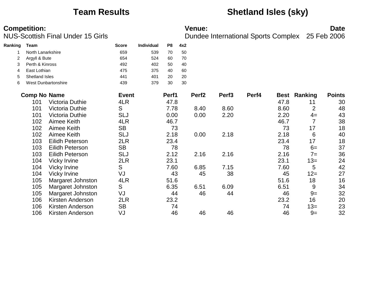## **Team Results Shetland Isles (sky)**

| Ranking | Team                  |                        | <b>Score</b> | <b>Individual</b> | P8    | 4x2 |                   |                   |       |      |                     |               |
|---------|-----------------------|------------------------|--------------|-------------------|-------|-----|-------------------|-------------------|-------|------|---------------------|---------------|
|         | North Lanarkshire     |                        | 659          | 539               | 70    | 50  |                   |                   |       |      |                     |               |
|         | Argyll & Bute         |                        | 654          | 524               | 60    | 70  |                   |                   |       |      |                     |               |
| 3       | Perth & Kinross       |                        | 492          | 402               | 50    | 40  |                   |                   |       |      |                     |               |
| 4       | East Lothian          |                        | 475          | 375               | 40    | 60  |                   |                   |       |      |                     |               |
| 5       | <b>Shetland Isles</b> |                        | 441          | 401               | 20    | 20  |                   |                   |       |      |                     |               |
| 6       |                       | West Dunbartonshire    | 439          | 379               | 30    | 30  |                   |                   |       |      |                     |               |
|         | <b>Comp No Name</b>   |                        | <b>Event</b> |                   | Perf1 |     | Perf <sub>2</sub> | Perf <sub>3</sub> | Perf4 |      | <b>Best Ranking</b> | <b>Points</b> |
|         | 101                   | Victoria Duthie        | 4LR          |                   | 47.8  |     |                   |                   |       | 47.8 | 11                  | 30            |
|         | 101                   | Victoria Duthie        | S            |                   | 7.78  |     | 8.40              | 8.60              |       | 8.60 | $\overline{2}$      | 48            |
|         | 101                   | Victoria Duthie        | <b>SLJ</b>   |                   | 0.00  |     | 0.00              | 2.20              |       | 2.20 | $4=$                | 43            |
|         | 102                   | Aimee Keith            | 4LR          |                   | 46.7  |     |                   |                   |       | 46.7 | 7                   | 38            |
|         | 102                   | Aimee Keith            | <b>SB</b>    |                   | 73    |     |                   |                   |       | 73   | 17                  | 18            |
|         | 102                   | Aimee Keith            | <b>SLJ</b>   |                   | 2.18  |     | 0.00              | 2.18              |       | 2.18 | 6                   | 40            |
|         | 103                   | Eilidh Peterson        | 2LR          |                   | 23.4  |     |                   |                   |       | 23.4 | 17                  | 18            |
|         | 103                   | <b>Eilidh Peterson</b> | <b>SB</b>    |                   | 78    |     |                   |                   |       | 78   | $6=$                | 37            |
|         | 103                   | <b>Eilidh Peterson</b> | <b>SLJ</b>   |                   | 2.12  |     | 2.16              | 2.16              |       | 2.16 | $7 =$               | 36            |
|         | 104                   | Vicky Irvine           | 2LR          |                   | 23.1  |     |                   |                   |       | 23.1 | $13=$               | 24            |
|         | 104                   | Vicky Irvine           | S            |                   | 7.60  |     | 6.85              | 7.15              |       | 7.60 | 5                   | 42            |
|         | 104                   | Vicky Irvine           | VJ           |                   | 43    |     | 45                | 38                |       | 45   | $12 =$              | 27            |
|         | 105                   | Margaret Johnston      | 4LR          |                   | 51.6  |     |                   |                   |       | 51.6 | 18                  | 16            |
|         | 105                   | Margaret Johnston      | S            |                   | 6.35  |     | 6.51              | 6.09              |       | 6.51 | 9                   | 34            |
|         | 105                   | Margaret Johnston      | VJ           |                   | 44    |     | 46                | 44                |       | 46   | $9=$                | 32            |
|         | 106                   | Kirsten Anderson       | 2LR          |                   | 23.2  |     |                   |                   |       | 23.2 | 16                  | 20            |
|         | 106                   | Kirsten Anderson       | <b>SB</b>    |                   | 74    |     |                   |                   |       | 74   | $13=$               | 23            |
|         | 106                   | Kirsten Anderson       | VJ           |                   | 46    |     | 46                | 46                |       | 46   | $9=$                | 32            |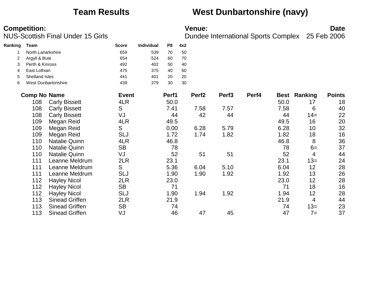## **Team Results West Dunbartonshire (navy)**

| Ranking | Team                |                       | <b>Score</b> | Individual | P8    | 4x2 |                   |                   |       |             |         |               |
|---------|---------------------|-----------------------|--------------|------------|-------|-----|-------------------|-------------------|-------|-------------|---------|---------------|
|         | North Lanarkshire   |                       | 659          | 539        | 70    | 50  |                   |                   |       |             |         |               |
|         | Argyll & Bute       |                       | 654          | 524        | 60    | 70  |                   |                   |       |             |         |               |
| 3       | Perth & Kinross     |                       | 492          | 402        | 50    | 40  |                   |                   |       |             |         |               |
| 4       | East Lothian        |                       | 475          | 375        | 40    | 60  |                   |                   |       |             |         |               |
| 5       | Shetland Isles      |                       | 441          | 401        | 20    | 20  |                   |                   |       |             |         |               |
| 6       |                     | West Dunbartonshire   | 439          | 379        | 30    | 30  |                   |                   |       |             |         |               |
|         | <b>Comp No Name</b> |                       | <b>Event</b> |            | Perf1 |     | Perf <sub>2</sub> | Perf <sub>3</sub> | Perf4 | <b>Best</b> | Ranking | <b>Points</b> |
|         | 108                 | <b>Carly Bissett</b>  | 4LR          |            | 50.0  |     |                   |                   |       | 50.0        | 17      | 18            |
|         | 108                 | <b>Carly Bissett</b>  | S            |            | 7.41  |     | 7.58              | 7.57              |       | 7.58        | 6       | 40            |
|         | 108                 | <b>Carly Bissett</b>  | VJ           |            | 44    |     | 42                | 44                |       | 44          | $14=$   | 22            |
|         | 109                 | Megan Reid            | 4LR          |            | 49.5  |     |                   |                   |       | 49.5        | 16      | 20            |
|         | 109                 | Megan Reid            | S            |            | 0.00  |     | 6.28              | 5.79              |       | 6.28        | 10      | 32            |
|         | 109                 | Megan Reid            | <b>SLJ</b>   |            | 1.72  |     | 1.74              | 1.82              |       | 1.82        | 18      | 16            |
|         | 110                 | <b>Natalie Quinn</b>  | 4LR          |            | 46.8  |     |                   |                   |       | 46.8        | 8       | 36            |
|         | 110                 | <b>Natalie Quinn</b>  | <b>SB</b>    |            | 78    |     |                   |                   |       | 78          | $6=$    | 37            |
|         | 110                 | <b>Natalie Quinn</b>  | VJ           |            | 52    |     | 51                | 51                |       | 52          | 4       | 44            |
|         | 111                 | Leanne Meldrum        | 2LR          |            | 23.1  |     |                   |                   |       | 23.1        | $13=$   | 24            |
|         | 111                 | Leanne Meldrum        | S            |            | 5.36  |     | 6.04              | 5.10              |       | 6.04        | 12      | 28            |
|         | 111                 | Leanne Meldrum        | SLJ          |            | 1.90  |     | 1.90              | 1.92              |       | 1.92        | 13      | 26            |
|         | 112                 | <b>Hayley Nicol</b>   | 2LR          |            | 23.0  |     |                   |                   |       | 23.0        | 12      | 28            |
|         | 112                 | <b>Hayley Nicol</b>   | <b>SB</b>    |            | 71    |     |                   |                   |       | 71          | 18      | 16            |
|         | 112                 | <b>Hayley Nicol</b>   | SLJ          |            | 1.90  |     | 1.94              | 1.92              |       | 1.94        | 12      | 28            |
|         | 113                 | <b>Sinead Griffen</b> | 2LR          |            | 21.9  |     |                   |                   |       | 21.9        | 4       | 44            |
|         | 113                 | <b>Sinead Griffen</b> | <b>SB</b>    |            | 74    |     |                   |                   |       | 74          | $13=$   | 23            |
|         | 113                 | <b>Sinead Griffen</b> | VJ           |            | 46    |     | 47                | 45                |       | 47          | $7=$    | 37            |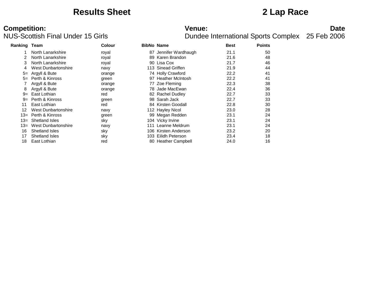## **Results Sheet 2 Lap Race**

# **Competition:**<br>**Date**<br>Dundee International Sports Complex 25 Feb 2006<br>Dundee International Sports Complex 25 Feb 2006

| Ranking Team |                       | <b>Colour</b> | <b>BibNo Name</b> |                       | <b>Best</b> | <b>Points</b> |  |
|--------------|-----------------------|---------------|-------------------|-----------------------|-------------|---------------|--|
|              | North Lanarkshire     | royal         |                   | 87 Jennifer Wardhaugh | 21.1        | 50            |  |
|              | North Lanarkshire     | royal         |                   | 89 Karen Brandon      | 21.6        | 48            |  |
|              | North Lanarkshire     | royal         |                   | 90 Lisa Cox           | 21.7        | 46            |  |
|              | West Dunbartonshire   | navy          |                   | 113 Sinead Griffen    | 21.9        | 44            |  |
| $5=$         | Argyll & Bute         | orange        |                   | 74 Holly Crawford     | 22.2        | 41            |  |
| $5=$         | Perth & Kinross       | green         |                   | 97 Heather McIntosh   | 22.2        | 41            |  |
|              | Argyll & Bute         | orange        |                   | 77 Zoe Fleming        | 22.3        | 38            |  |
| 8            | Argyll & Bute         | orange        |                   | 78 Jade MacEwan       | 22.4        | 36            |  |
| $9=$         | East Lothian          | red           |                   | 82 Rachel Dudley      | 22.7        | 33            |  |
| $9=$         | Perth & Kinross       | green         |                   | 98 Sarah Jack         | 22.7        | 33            |  |
| 11           | East Lothian          | red           |                   | 84 Kirsten Goodall    | 22.8        | 30            |  |
| 12           | West Dunbartonshire   | navy          |                   | 112 Hayley Nicol      | 23.0        | 28            |  |
| 13=          | Perth & Kinross       | green         |                   | 99 Megan Redden       | 23.1        | 24            |  |
| 13=          | <b>Shetland Isles</b> | sky           |                   | 104 Vicky Irvine      | 23.1        | 24            |  |
| 13=          | West Dunbartonshire   | navy          | 111               | Leanne Meldrum        | 23.1        | 24            |  |
| 16           | Shetland Isles        | sky           |                   | 106 Kirsten Anderson  | 23.2        | 20            |  |
| 17           | <b>Shetland Isles</b> | sky           |                   | 103 Eilidh Peterson   | 23.4        | 18            |  |
| 18           | East Lothian          | red           |                   | 80 Heather Campbell   | 24.0        | 16            |  |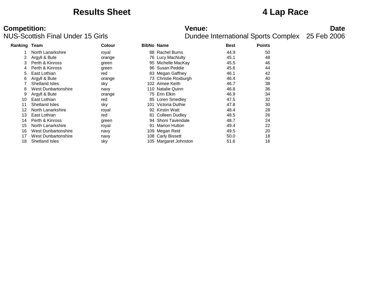## **Results Sheet 4 Lap Race**

# **Competition:**<br>**Date**<br>Dundee International Sports Complex 25 Feb 2006<br>Dundee International Sports Complex 25 Feb 2006

| Ranking Team |                       | Colour | <b>BibNo Name</b>     | <b>Best</b> | <b>Points</b> |  |
|--------------|-----------------------|--------|-----------------------|-------------|---------------|--|
|              | North Lanarkshire     | royal  | 88 Rachel Burns       | 44.9        | 50            |  |
|              | Argyll & Bute         | orange | 76 Lucy MacNulty      | 45.1        | 48            |  |
| 3            | Perth & Kinross       | green  | 95 Michelle MacKay    | 45.5        | 46            |  |
| 4            | Perth & Kinross       | green  | 96 Susan Peddie       | 45.6        | 44            |  |
| 5            | East Lothian          | red    | 83 Megan Gaffney      | 46.1        | 42            |  |
| 6            | Argyll & Bute         | orange | 73 Christie Roxburgh  | 46.4        | 40            |  |
|              | Shetland Isles        | sky    | 102 Aimee Keith       | 46.7        | 38            |  |
| 8            | West Dunbartonshire   | navy   | 110 Natalie Quinn     | 46.8        | 36            |  |
|              | Argyll & Bute         | orange | 75 Erin Elkin         | 46.9        | 34            |  |
| 10           | East Lothian          | red    | 85 Loren Smedley      | 47.5        | 32            |  |
| 11           | Shetland Isles        | sky    | 101 Victoria Duthie   | 47.8        | 30            |  |
| 12           | North Lanarkshire     | royal  | 92 Kirstin Watt       | 48.4        | 28            |  |
| 13           | East Lothian          | red    | 81 Colleen Dudley     | 48.5        | 26            |  |
| 14           | Perth & Kinross       | green  | 94 Shoni Tavendale    | 48.7        | 24            |  |
| 15           | North Lanarkshire     | royal  | 91 Marion Hutton      | 49.4        | 22            |  |
| 16           | West Dunbartonshire   | navy   | 109 Megan Reid        | 49.5        | 20            |  |
| 17           | West Dunbartonshire   | navy   | 108 Carly Bissett     | 50.0        | 18            |  |
| 18           | <b>Shetland Isles</b> | sky    | 105 Margaret Johnston | 51.6        | 16            |  |
|              |                       |        |                       |             |               |  |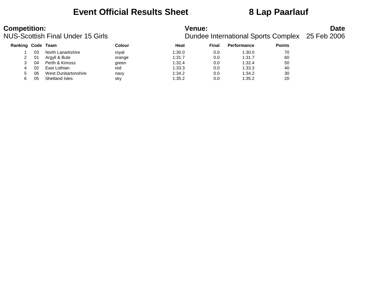## **Event Official Results Sheet 8 Lap Paarlauf**

| <b>Competition:</b><br><b>NUS-Scottish Final Under 15 Girls</b> |     |                     | <b>Venue:</b><br>Dundee International Sports Complex 25 Feb 2006 |        |       |                    | <b>Date</b>   |  |
|-----------------------------------------------------------------|-----|---------------------|------------------------------------------------------------------|--------|-------|--------------------|---------------|--|
| Ranking Code Team                                               |     |                     | Colour                                                           | Heat   | Final | <b>Performance</b> | <b>Points</b> |  |
|                                                                 | 03. | North Lanarkshire   | roval                                                            | 1:30.0 | 0.0   | 1:30.0             | 70            |  |
|                                                                 | 01  | Argyll & Bute       | orange                                                           | 1:31.7 | 0.0   | 1:31.7             | 60            |  |
|                                                                 | 04  | Perth & Kinross     | green                                                            | 1:32.4 | 0.0   | 1:32.4             | 50            |  |
| 4                                                               | 02  | East Lothian        | red                                                              | 1:33.3 | 0.0   | 1:33.3             | 40            |  |
| 5                                                               | 06  | West Dunbartonshire | navy                                                             | 1:34.2 | 0.0   | 1:34.2             | 30            |  |
| 6                                                               | 05  | Shetland Isles      | sky                                                              | 1:35.2 | 0.0   | 1:35.2             | 20            |  |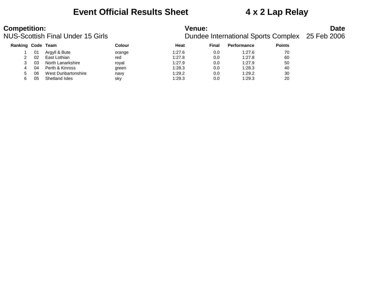## **Event Official Results Sheet 4 x 2 Lap Relay**

| Ranking Code Team |    |                     | Colour | Heat   | Final | <b>Performance</b> | <b>Points</b> |
|-------------------|----|---------------------|--------|--------|-------|--------------------|---------------|
|                   | 01 | Argyll & Bute       | orange | 1:27.6 | 0.0   | 1:27.6             | 70            |
|                   | 02 | East Lothian        | red    | 1:27.8 | 0.0   | 1:27.8             | 60            |
|                   | 03 | North Lanarkshire   | roval  | 1:27.9 | 0.0   | 1:27.9             | 50            |
| 4                 | 04 | Perth & Kinross     | green  | 1:28.3 | 0.0   | 1:28.3             | 40            |
| 5.                | 06 | West Dunbartonshire | navy   | 1:29.2 | 0.0   | 1:29.2             | 30            |
| 6                 | 05 | Shetland Isles      | sky    | 1:29.3 | 0.0   | 1:29.3             | 20            |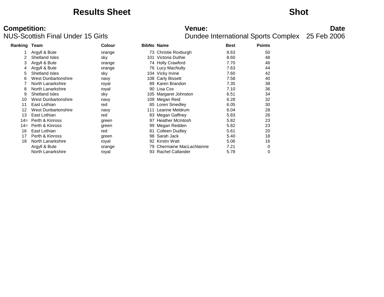## **Results Sheet Shot**

# **Competition:**<br>**Date**<br>Dundee International Sports Complex 25 Feb 2006<br>Dundee International Sports Complex 25 Feb 2006

| Ranking Team |                            | <b>Colour</b> | <b>BibNo Name</b> |                            | <b>Best</b> | <b>Points</b> |
|--------------|----------------------------|---------------|-------------------|----------------------------|-------------|---------------|
|              | Argyll & Bute              | orange        |                   | 73 Christie Roxburgh       | 8.63        | 50            |
| 2            | Shetland Isles             | sky           |                   | 101 Victoria Duthie        | 8.60        | 48            |
| 3            | Argyll & Bute              | orange        |                   | 74 Holly Crawford          | 7.70        | 46            |
| 4            | Argyll & Bute              | orange        |                   | 76 Lucy MacNulty           | 7.63        | 44            |
| 5.           | Shetland Isles             | sky           |                   | 104 Vicky Irvine           | 7.60        | 42            |
| 6            | West Dunbartonshire        | navy          |                   | 108 Carly Bissett          | 7.58        | 40            |
|              | North Lanarkshire          | royal         |                   | 89 Karen Brandon           | 7.35        | 38            |
| 8            | North Lanarkshire          | royal         |                   | 90 Lisa Cox                | 7.10        | 36            |
| 9            | Shetland Isles             | sky           |                   | 105 Margaret Johnston      | 6.51        | 34            |
| 10           | <b>West Dunbartonshire</b> | navy          |                   | 109 Megan Reid             | 6.28        | 32            |
| 11           | East Lothian               | red           |                   | 85 Loren Smedley           | 6.05        | 30            |
| 12           | <b>West Dunbartonshire</b> | navy          |                   | 111 Leanne Meldrum         | 6.04        | 28            |
| 13           | East Lothian               | red           |                   | 83 Megan Gaffney           | 5.83        | 26            |
| $14=$        | Perth & Kinross            | green         |                   | 97 Heather McIntosh        | 5.82        | 23            |
| $14 =$       | Perth & Kinross            | green         |                   | 99 Megan Redden            | 5.82        | 23            |
| 16           | East Lothian               | red           |                   | 81 Colleen Dudley          | 5.61        | 20            |
| 17           | Perth & Kinross            | green         |                   | 98 Sarah Jack              | 5.40        | 18            |
| 18           | North Lanarkshire          | royal         |                   | 92 Kirstin Watt            | 5.06        | 16            |
|              | Argyll & Bute              | orange        |                   | 79 Chermaine MacLachlainne | 7.21        | 0             |
|              | North Lanarkshire          | royal         |                   | 93 Rachel Callander        | 5.78        | 0             |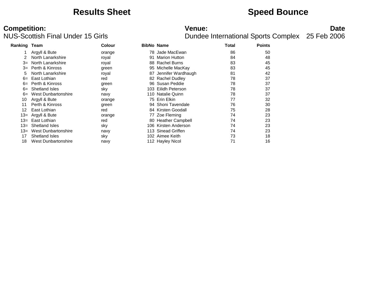## **Results Sheet Speed Bounce**

# **Competition:**<br>**Date**<br>Dundee International Sports Complex 25 Feb 2006<br>Dundee International Sports Complex 25 Feb 2006

| <b>Ranking Team</b> |                       | <b>Colour</b> |      | <b>BibNo Name</b>     | Total | <b>Points</b> |  |
|---------------------|-----------------------|---------------|------|-----------------------|-------|---------------|--|
|                     | Argyll & Bute         | orange        |      | 78 Jade MacEwan       | 86    | 50            |  |
|                     | North Lanarkshire     | royal         | 91   | <b>Marion Hutton</b>  | 84    | 48            |  |
| $3=$                | North Lanarkshire     | royal         | 88   | <b>Rachel Burns</b>   | 83    | 45            |  |
| $3=$                | Perth & Kinross       | green         |      | 95 Michelle MacKay    | 83    | 45            |  |
| 5                   | North Lanarkshire     | royal         |      | 87 Jennifer Wardhaugh | 81    | 42            |  |
| $6=$                | East Lothian          | red           |      | 82 Rachel Dudley      | 78    | 37            |  |
| $6=$                | Perth & Kinross       | green         |      | 96 Susan Peddie       | 78    | 37            |  |
| $6=$                | Shetland Isles        | sky           |      | 103 Eilidh Peterson   | 78    | 37            |  |
| $6=$                | West Dunbartonshire   | navy          |      | 110 Natalie Quinn     | 78    | 37            |  |
| 10                  | Argyll & Bute         | orange        |      | 75 Erin Elkin         | 77    | 32            |  |
| 11                  | Perth & Kinross       | green         |      | 94 Shoni Tavendale    | 76    | 30            |  |
| 12                  | East Lothian          | red           |      | 84 Kirsten Goodall    | 75    | 28            |  |
|                     | 13= Argyll & Bute     | orange        |      | 77 Zoe Fleming        | 74    | 23            |  |
| $13=$               | East Lothian          | red           |      | 80 Heather Campbell   | 74    | 23            |  |
| $13=$               | <b>Shetland Isles</b> | sky           | 106. | Kirsten Anderson      | 74    | 23            |  |
| $13=$               | West Dunbartonshire   | navy          | 113  | Sinead Griffen        | 74    | 23            |  |
| 17                  | Shetland Isles        | sky           | 102  | Aimee Keith           | 73    | 18            |  |
| 18                  | West Dunbartonshire   | navy          |      | 112 Hayley Nicol      | 71    | 16            |  |
|                     |                       |               |      |                       |       |               |  |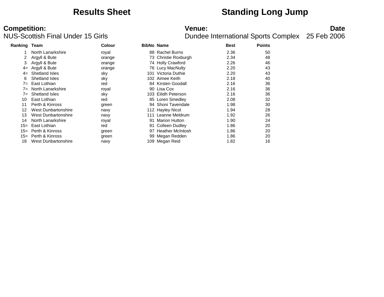## **Results Sheet Standing Long Jump**

# **Competition:**<br>**Date**<br>Dundee International Sports Complex 25 Feb 2006<br>Dundee International Sports Complex 25 Feb 2006

| <b>Ranking Team</b> |                            | Colour |    | <b>BibNo Name</b>       | <b>Best</b> | <b>Points</b> |  |
|---------------------|----------------------------|--------|----|-------------------------|-------------|---------------|--|
|                     | North Lanarkshire          | royal  |    | 88 Rachel Burns         | 2.36        | 50            |  |
| 2                   | Argyll & Bute              | orange |    | 73 Christie Roxburgh    | 2.34        | 48            |  |
|                     | Argyll & Bute              | orange |    | 74 Holly Crawford       | 2.26        | 46            |  |
| $4=$                | Argyll & Bute              | orange |    | 76 Lucy MacNulty        | 2.20        | 43            |  |
| $4=$                | Shetland Isles             | sky    |    | 101 Victoria Duthie     | 2.20        | 43            |  |
| 6                   | Shetland Isles             | sky    |    | 102 Aimee Keith         | 2.18        | 40            |  |
| 7=                  | East Lothian               | red    |    | 84 Kirsten Goodall      | 2.16        | 36            |  |
| 7=                  | North Lanarkshire          | royal  |    | 90 Lisa Cox             | 2.16        | 36            |  |
| $7 =$               | <b>Shetland Isles</b>      | sky    |    | 103 Eilidh Peterson     | 2.16        | 36            |  |
| 10                  | East Lothian               | red    |    | 85 Loren Smedley        | 2.08        | 32            |  |
| 11                  | Perth & Kinross            | green  |    | 94 Shoni Tavendale      | 1.98        | 30            |  |
| 12                  | West Dunbartonshire        | navy   |    | 112 Hayley Nicol        | 1.94        | 28            |  |
| 13                  | <b>West Dunbartonshire</b> | navy   |    | 111 Leanne Meldrum      | 1.92        | 26            |  |
| 14                  | North Lanarkshire          | royal  | 91 | <b>Marion Hutton</b>    | 1.90        | 24            |  |
| 15=                 | East Lothian               | red    |    | 81 Colleen Dudley       | 1.86        | 20            |  |
| 15=                 | Perth & Kinross            | green  | 97 | <b>Heather McIntosh</b> | 1.86        | 20            |  |
| $15 =$              | Perth & Kinross            | green  |    | 99 Megan Redden         | 1.86        | 20            |  |
| 18                  | West Dunbartonshire        | navy   |    | 109 Megan Reid          | 1.82        | 16            |  |